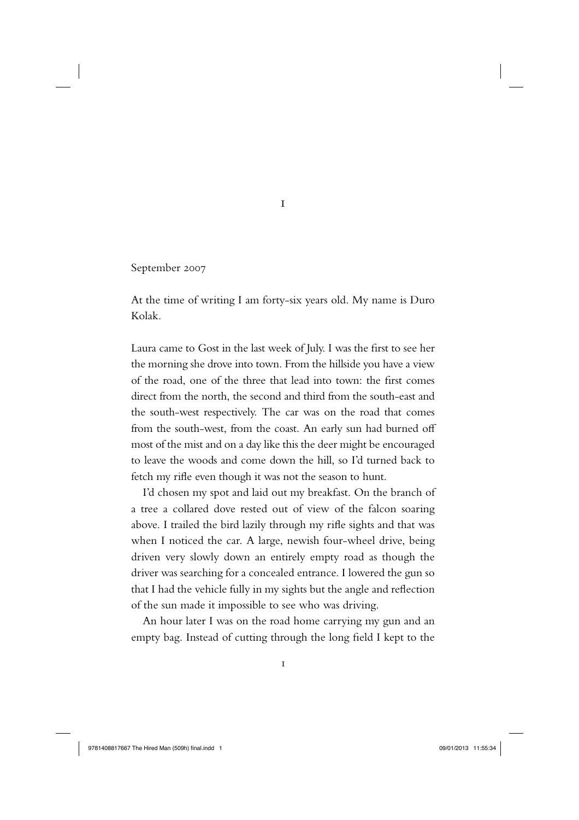## September 2007

At the time of writing I am forty-six years old. My name is Duro Kolak.

 $\bf I$ 

Laura came to Gost in the last week of July. I was the first to see her the morning she drove into town. From the hillside you have a view of the road, one of the three that lead into town: the first comes direct from the north, the second and third from the south-east and the south-west respectively. The car was on the road that comes from the south-west, from the coast. An early sun had burned off most of the mist and on a day like this the deer might be encouraged to leave the woods and come down the hill, so I'd turned back to fetch my rifle even though it was not the season to hunt.

I'd chosen my spot and laid out my breakfast. On the branch of a tree a collared dove rested out of view of the falcon soaring above. I trailed the bird lazily through my rifle sights and that was when I noticed the car. A large, newish four-wheel drive, being driven very slowly down an entirely empty road as though the driver was searching for a concealed entrance. I lowered the gun so that I had the vehicle fully in my sights but the angle and reflection of the sun made it impossible to see who was driving.

An hour later I was on the road home carrying my gun and an empty bag. Instead of cutting through the long field I kept to the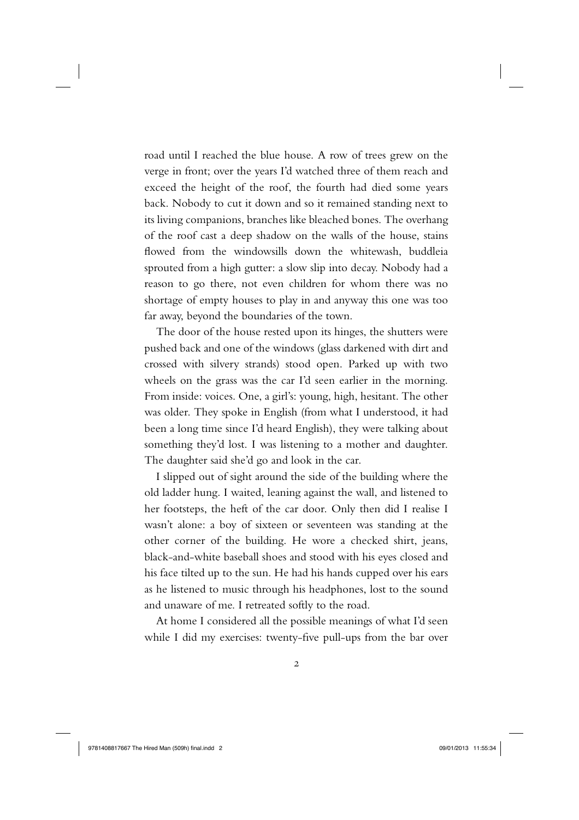road until I reached the blue house. A row of trees grew on the verge in front; over the years I'd watched three of them reach and exceed the height of the roof, the fourth had died some years back. Nobody to cut it down and so it remained standing next to its living companions, branches like bleached bones. The overhang of the roof cast a deep shadow on the walls of the house, stains flowed from the windowsills down the whitewash, buddleia sprouted from a high gutter: a slow slip into decay. Nobody had a reason to go there, not even children for whom there was no shortage of empty houses to play in and anyway this one was too far away, beyond the boundaries of the town.

The door of the house rested upon its hinges, the shutters were pushed back and one of the windows (glass darkened with dirt and crossed with silvery strands) stood open. Parked up with two wheels on the grass was the car I'd seen earlier in the morning. From inside: voices. One, a girl's: young, high, hesitant. The other was older. They spoke in English (from what I understood, it had been a long time since I'd heard English), they were talking about something they'd lost. I was listening to a mother and daughter. The daughter said she'd go and look in the car.

I slipped out of sight around the side of the building where the old ladder hung. I waited, leaning against the wall, and listened to her footsteps, the heft of the car door. Only then did I realise I wasn't alone: a boy of sixteen or seventeen was standing at the other corner of the building. He wore a checked shirt, jeans, black-and-white baseball shoes and stood with his eyes closed and his face tilted up to the sun. He had his hands cupped over his ears as he listened to music through his headphones, lost to the sound and unaware of me. I retreated softly to the road.

At home I considered all the possible meanings of what I'd seen while I did my exercises: twenty-five pull-ups from the bar over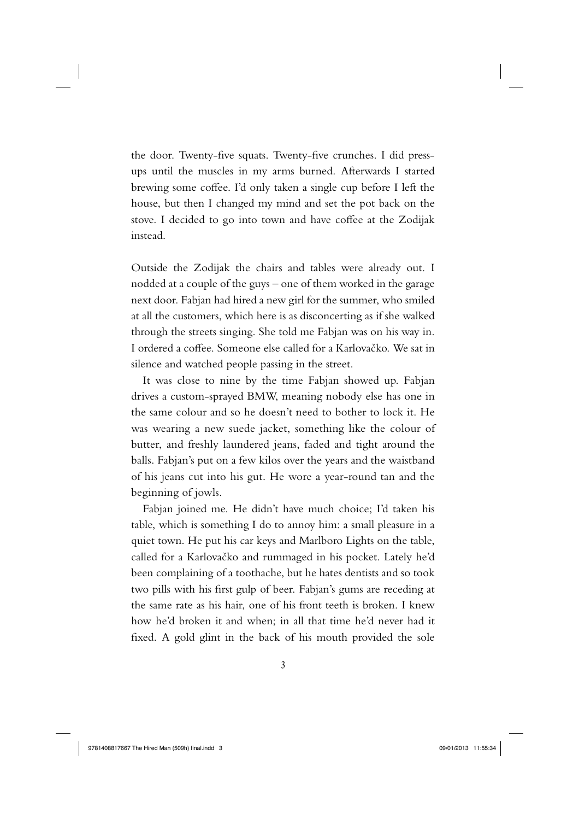the door. Twenty-five squats. Twenty-five crunches. I did pressups until the muscles in my arms burned. Afterwards I started brewing some coffee. I'd only taken a single cup before I left the house, but then I changed my mind and set the pot back on the stove. I decided to go into town and have coffee at the Zodijak instead.

Outside the Zodijak the chairs and tables were already out. I nodded at a couple of the guys – one of them worked in the garage next door. Fabjan had hired a new girl for the summer, who smiled at all the customers, which here is as disconcerting as if she walked through the streets singing. She told me Fabjan was on his way in. I ordered a coffee. Someone else called for a Karlovačko. We sat in silence and watched people passing in the street.

It was close to nine by the time Fabjan showed up. Fabjan drives a custom-sprayed BMW, meaning nobody else has one in the same colour and so he doesn't need to bother to lock it. He was wearing a new suede jacket, something like the colour of butter, and freshly laundered jeans, faded and tight around the balls. Fabjan's put on a few kilos over the years and the waistband of his jeans cut into his gut. He wore a year-round tan and the beginning of jowls.

Fabjan joined me. He didn't have much choice; I'd taken his table, which is something I do to annoy him: a small pleasure in a quiet town. He put his car keys and Marlboro Lights on the table, called for a Karlovačko and rummaged in his pocket. Lately he'd been complaining of a toothache, but he hates dentists and so took two pills with his first gulp of beer. Fabjan's gums are receding at the same rate as his hair, one of his front teeth is broken. I knew how he'd broken it and when; in all that time he'd never had it fixed. A gold glint in the back of his mouth provided the sole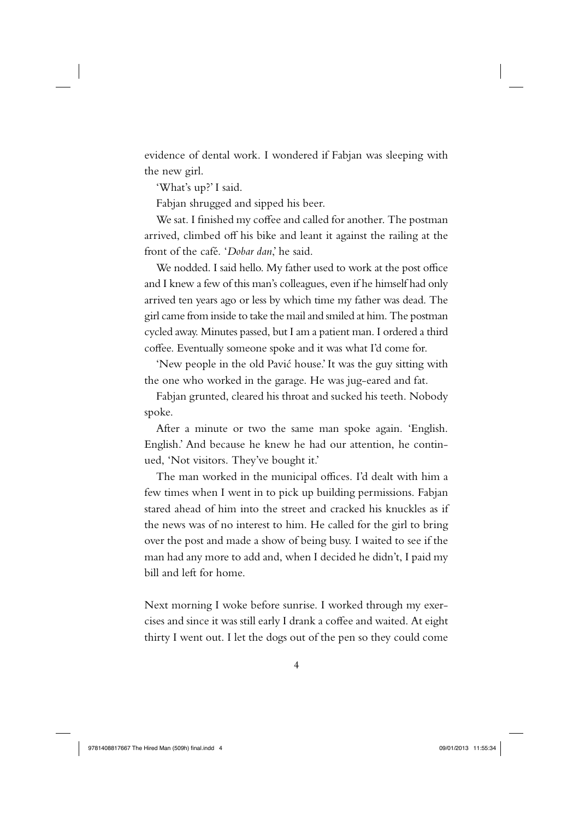evidence of dental work. I wondered if Fabjan was sleeping with the new girl.

'What's up?' I said.

Fabjan shrugged and sipped his beer.

We sat. I finished my coffee and called for another. The postman arrived, climbed off his bike and leant it against the railing at the front of the café. '*Dobar dan*,' he said.

We nodded. I said hello. My father used to work at the post office and I knew a few of this man's colleagues, even if he himself had only arrived ten years ago or less by which time my father was dead. The girl came from inside to take the mail and smiled at him. The postman cycled away. Minutes passed, but I am a patient man. I ordered a third coffee. Eventually someone spoke and it was what I'd come for.

'New people in the old Pavić house.' It was the guy sitting with the one who worked in the garage. He was jug-eared and fat.

Fabjan grunted, cleared his throat and sucked his teeth. Nobody spoke.

After a minute or two the same man spoke again. 'English. English.' And because he knew he had our attention, he continued, 'Not visitors. They've bought it.'

The man worked in the municipal offices. I'd dealt with him a few times when I went in to pick up building permissions. Fabjan stared ahead of him into the street and cracked his knuckles as if the news was of no interest to him. He called for the girl to bring over the post and made a show of being busy. I waited to see if the man had any more to add and, when I decided he didn't, I paid my bill and left for home.

Next morning I woke before sunrise. I worked through my exercises and since it was still early I drank a coffee and waited. At eight thirty I went out. I let the dogs out of the pen so they could come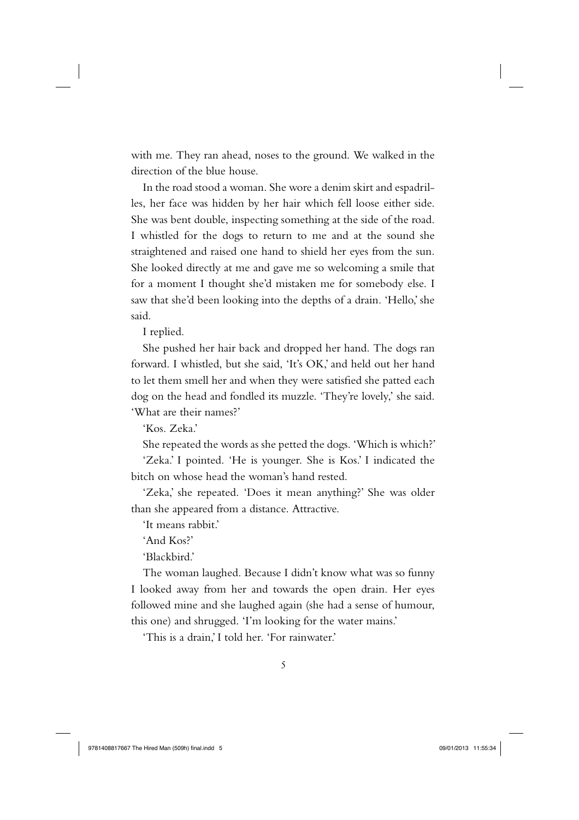with me. They ran ahead, noses to the ground. We walked in the direction of the blue house.

In the road stood a woman. She wore a denim skirt and espadrilles, her face was hidden by her hair which fell loose either side. She was bent double, inspecting something at the side of the road. I whistled for the dogs to return to me and at the sound she straightened and raised one hand to shield her eyes from the sun. She looked directly at me and gave me so welcoming a smile that for a moment I thought she'd mistaken me for somebody else. I saw that she'd been looking into the depths of a drain. 'Hello,' she said.

I replied.

She pushed her hair back and dropped her hand. The dogs ran forward. I whistled, but she said, 'It's OK,' and held out her hand to let them smell her and when they were satisfied she patted each dog on the head and fondled its muzzle. 'They're lovely,' she said. 'What are their names?'

'Kos. Zeka.'

She repeated the words as she petted the dogs. 'Which is which?' 'Zeka.' I pointed. 'He is younger. She is Kos.' I indicated the bitch on whose head the woman's hand rested.

'Zeka,' she repeated. 'Does it mean anything?' She was older than she appeared from a distance. Attractive.

'It means rabbit.'

'And Kos?'

'Blackbird.'

The woman laughed. Because I didn't know what was so funny I looked away from her and towards the open drain. Her eyes followed mine and she laughed again (she had a sense of humour, this one) and shrugged. 'I'm looking for the water mains.'

'This is a drain,' I told her. 'For rainwater.'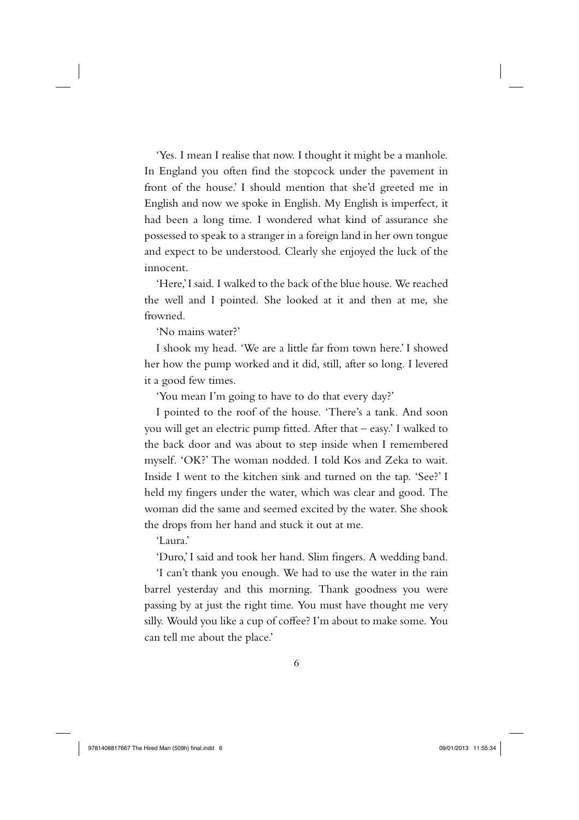'Yes. I mean I realise that now. I thought it might be a manhole. In England you often find the stopcock under the pavement in front of the house.' I should mention that she'd greeted me in English and now we spoke in English. My English is imperfect, it had been a long time. I wondered what kind of assurance she possessed to speak to a stranger in a foreign land in her own tongue and expect to be understood. Clearly she enjoyed the luck of the innocent.

'Here,' I said. I walked to the back of the blue house. We reached the well and I pointed. She looked at it and then at me, she frowned.

'No mains water?'

I shook my head. 'We are a little far from town here.' I showed her how the pump worked and it did, still, after so long. I levered it a good few times.

'You mean I'm going to have to do that every day?'

I pointed to the roof of the house. 'There's a tank. And soon you will get an electric pump fitted. After that – easy.' I walked to the back door and was about to step inside when I remembered myself. 'OK?' The woman nodded. I told Kos and Zeka to wait. Inside I went to the kitchen sink and turned on the tap. 'See?' I held my fingers under the water, which was clear and good. The woman did the same and seemed excited by the water. She shook the drops from her hand and stuck it out at me.

'Laura.'

'Duro,' I said and took her hand. Slim fingers. A wedding band.

'I can't thank you enough. We had to use the water in the rain barrel yesterday and this morning. Thank goodness you were passing by at just the right time. You must have thought me very silly. Would you like a cup of coffee? I'm about to make some. You can tell me about the place.'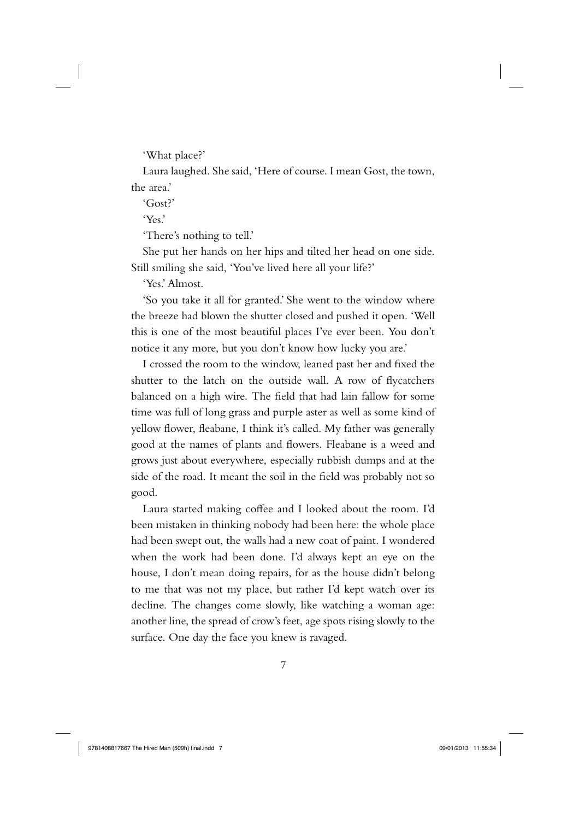'What place?'

Laura laughed. She said, 'Here of course. I mean Gost, the town, the area.'

'Gost?'

'Yes.'

'There's nothing to tell.'

She put her hands on her hips and tilted her head on one side. Still smiling she said, 'You've lived here all your life?'

'Yes.' Almost.

'So you take it all for granted.' She went to the window where the breeze had blown the shutter closed and pushed it open. 'Well this is one of the most beautiful places I've ever been. You don't notice it any more, but you don't know how lucky you are.'

I crossed the room to the window, leaned past her and fixed the shutter to the latch on the outside wall. A row of flycatchers balanced on a high wire. The field that had lain fallow for some time was full of long grass and purple aster as well as some kind of yellow flower, fleabane, I think it's called. My father was generally good at the names of plants and flowers. Fleabane is a weed and grows just about everywhere, especially rubbish dumps and at the side of the road. It meant the soil in the field was probably not so good.

Laura started making coffee and I looked about the room. I'd been mistaken in thinking nobody had been here: the whole place had been swept out, the walls had a new coat of paint. I wondered when the work had been done. I'd always kept an eye on the house, I don't mean doing repairs, for as the house didn't belong to me that was not my place, but rather I'd kept watch over its decline. The changes come slowly, like watching a woman age: another line, the spread of crow's feet, age spots rising slowly to the surface. One day the face you knew is ravaged.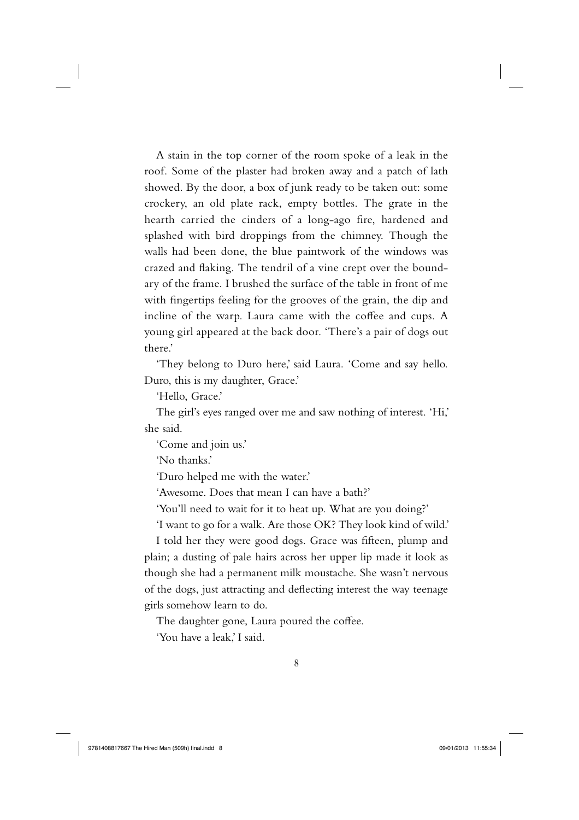A stain in the top corner of the room spoke of a leak in the roof. Some of the plaster had broken away and a patch of lath showed. By the door, a box of junk ready to be taken out: some crockery, an old plate rack, empty bottles. The grate in the hearth carried the cinders of a long-ago fire, hardened and splashed with bird droppings from the chimney. Though the walls had been done, the blue paintwork of the windows was crazed and flaking. The tendril of a vine crept over the boundary of the frame. I brushed the surface of the table in front of me with fingertips feeling for the grooves of the grain, the dip and incline of the warp. Laura came with the coffee and cups. A young girl appeared at the back door. 'There's a pair of dogs out there.'

'They belong to Duro here,' said Laura. 'Come and say hello. Duro, this is my daughter, Grace.'

'Hello, Grace.'

The girl's eyes ranged over me and saw nothing of interest. 'Hi,' she said.

'Come and join us.'

'No thanks.'

'Duro helped me with the water.'

'Awesome. Does that mean I can have a bath?'

'You'll need to wait for it to heat up. What are you doing?'

'I want to go for a walk. Are those OK? They look kind of wild.'

I told her they were good dogs. Grace was fifteen, plump and plain; a dusting of pale hairs across her upper lip made it look as though she had a permanent milk moustache. She wasn't nervous of the dogs, just attracting and deflecting interest the way teenage girls somehow learn to do.

The daughter gone, Laura poured the coffee.

'You have a leak,' I said.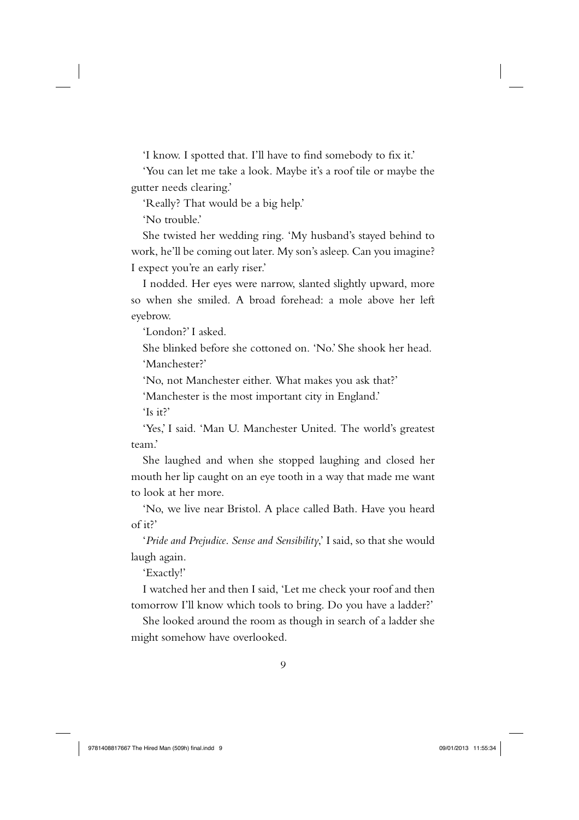'I know. I spotted that. I'll have to find somebody to fix it.'

'You can let me take a look. Maybe it's a roof tile or maybe the gutter needs clearing.'

'Really? That would be a big help.'

'No trouble.'

She twisted her wedding ring. 'My husband's stayed behind to work, he'll be coming out later. My son's asleep. Can you imagine? I expect you're an early riser.'

I nodded. Her eyes were narrow, slanted slightly upward, more so when she smiled. A broad forehead: a mole above her left eyebrow.

'London?' I asked.

She blinked before she cottoned on. 'No.' She shook her head. 'Manchester?'

'No, not Manchester either. What makes you ask that?'

'Manchester is the most important city in England.'

'Is it?'

'Yes,' I said. 'Man U. Manchester United. The world's greatest team.'

She laughed and when she stopped laughing and closed her mouth her lip caught on an eye tooth in a way that made me want to look at her more.

'No, we live near Bristol. A place called Bath. Have you heard of it?'

'*Pride and Prejudice*. *Sense and Sensibility*,' I said, so that she would laugh again.

'Exactly!'

I watched her and then I said, 'Let me check your roof and then tomorrow I'll know which tools to bring. Do you have a ladder?'

She looked around the room as though in search of a ladder she might somehow have overlooked.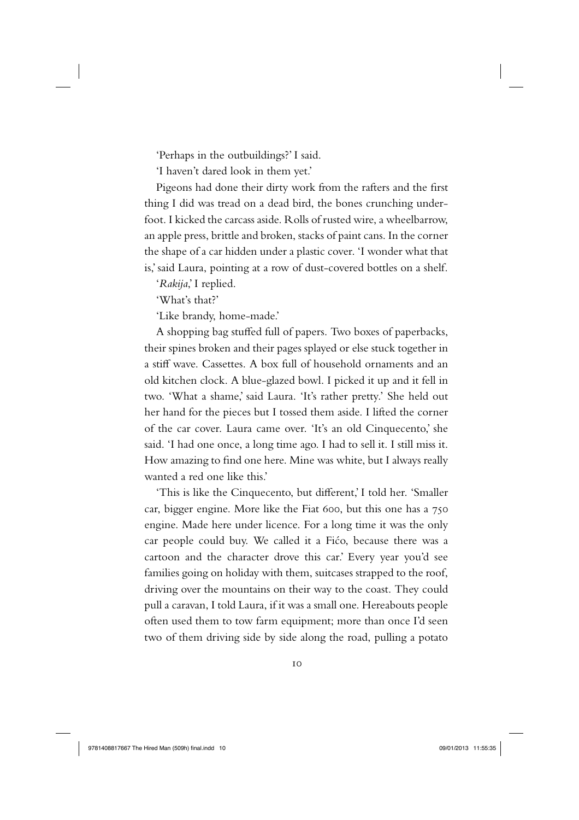'Perhaps in the outbuildings?' I said.

'I haven't dared look in them yet.'

Pigeons had done their dirty work from the rafters and the first thing I did was tread on a dead bird, the bones crunching underfoot. I kicked the carcass aside. Rolls of rusted wire, a wheelbarrow, an apple press, brittle and broken, stacks of paint cans. In the corner the shape of a car hidden under a plastic cover. 'I wonder what that is,' said Laura, pointing at a row of dust-covered bottles on a shelf.

'*Rakija*,' I replied.

'What's that?'

'Like brandy, home-made.'

A shopping bag stuffed full of papers. Two boxes of paperbacks, their spines broken and their pages splayed or else stuck together in a stiff wave. Cassettes. A box full of household ornaments and an old kitchen clock. A blue-glazed bowl. I picked it up and it fell in two. 'What a shame,' said Laura. 'It's rather pretty.' She held out her hand for the pieces but I tossed them aside. I lifted the corner of the car cover. Laura came over. 'It's an old Cinquecento,' she said. 'I had one once, a long time ago. I had to sell it. I still miss it. How amazing to find one here. Mine was white, but I always really wanted a red one like this.'

'This is like the Cinquecento, but different,' I told her. 'Smaller car, bigger engine. More like the Fiat 600, but this one has a 750 engine. Made here under licence. For a long time it was the only car people could buy. We called it a Fićo, because there was a cartoon and the character drove this car.' Every year you'd see families going on holiday with them, suitcases strapped to the roof, driving over the mountains on their way to the coast. They could pull a caravan, I told Laura, if it was a small one. Hereabouts people often used them to tow farm equipment; more than once I'd seen two of them driving side by side along the road, pulling a potato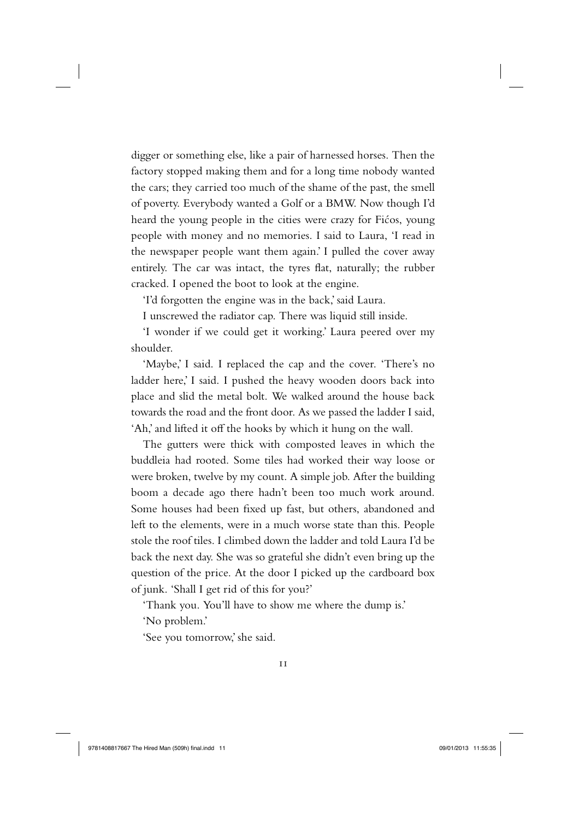digger or something else, like a pair of harnessed horses. Then the factory stopped making them and for a long time nobody wanted the cars; they carried too much of the shame of the past, the smell of poverty. Everybody wanted a Golf or a BMW. Now though I'd heard the young people in the cities were crazy for Fićos, young people with money and no memories. I said to Laura, 'I read in the newspaper people want them again.' I pulled the cover away entirely. The car was intact, the tyres flat, naturally; the rubber cracked. I opened the boot to look at the engine.

'I'd forgotten the engine was in the back,' said Laura.

I unscrewed the radiator cap. There was liquid still inside.

'I wonder if we could get it working.' Laura peered over my shoulder.

'Maybe,' I said. I replaced the cap and the cover. 'There's no ladder here,' I said. I pushed the heavy wooden doors back into place and slid the metal bolt. We walked around the house back towards the road and the front door. As we passed the ladder I said, 'Ah,' and lifted it off the hooks by which it hung on the wall.

The gutters were thick with composted leaves in which the buddleia had rooted. Some tiles had worked their way loose or were broken, twelve by my count. A simple job. After the building boom a decade ago there hadn't been too much work around. Some houses had been fixed up fast, but others, abandoned and left to the elements, were in a much worse state than this. People stole the roof tiles. I climbed down the ladder and told Laura I'd be back the next day. She was so grateful she didn't even bring up the question of the price. At the door I picked up the cardboard box of junk. 'Shall I get rid of this for you?'

'Thank you. You'll have to show me where the dump is.' 'No problem.'

'See you tomorrow,' she said.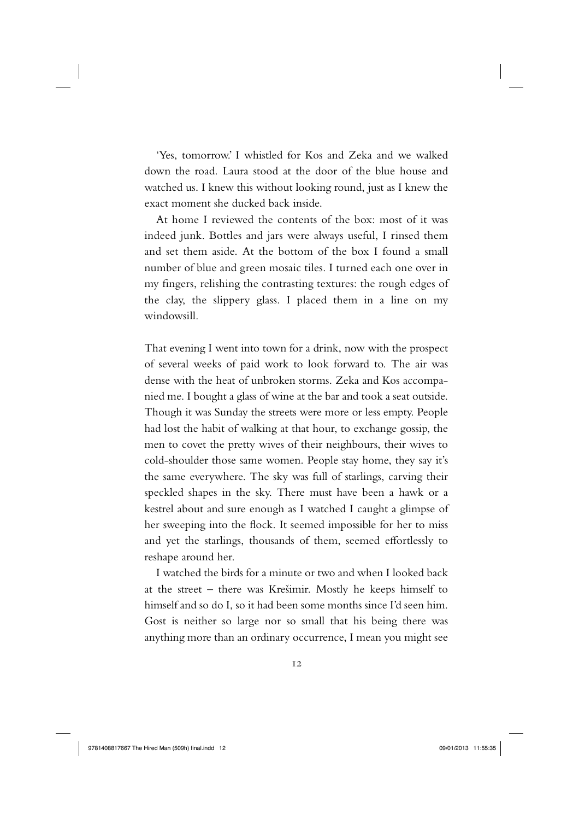'Yes, tomorrow.' I whistled for Kos and Zeka and we walked down the road. Laura stood at the door of the blue house and watched us. I knew this without looking round, just as I knew the exact moment she ducked back inside.

At home I reviewed the contents of the box: most of it was indeed junk. Bottles and jars were always useful, I rinsed them and set them aside. At the bottom of the box I found a small number of blue and green mosaic tiles. I turned each one over in my fingers, relishing the contrasting textures: the rough edges of the clay, the slippery glass. I placed them in a line on my windowsill.

That evening I went into town for a drink, now with the prospect of several weeks of paid work to look forward to. The air was dense with the heat of unbroken storms. Zeka and Kos accompanied me. I bought a glass of wine at the bar and took a seat outside. Though it was Sunday the streets were more or less empty. People had lost the habit of walking at that hour, to exchange gossip, the men to covet the pretty wives of their neighbours, their wives to cold-shoulder those same women. People stay home, they say it's the same everywhere. The sky was full of starlings, carving their speckled shapes in the sky. There must have been a hawk or a kestrel about and sure enough as I watched I caught a glimpse of her sweeping into the flock. It seemed impossible for her to miss and yet the starlings, thousands of them, seemed effortlessly to reshape around her.

I watched the birds for a minute or two and when I looked back at the street – there was Krešimir. Mostly he keeps himself to himself and so do I, so it had been some months since I'd seen him. Gost is neither so large nor so small that his being there was anything more than an ordinary occurrence, I mean you might see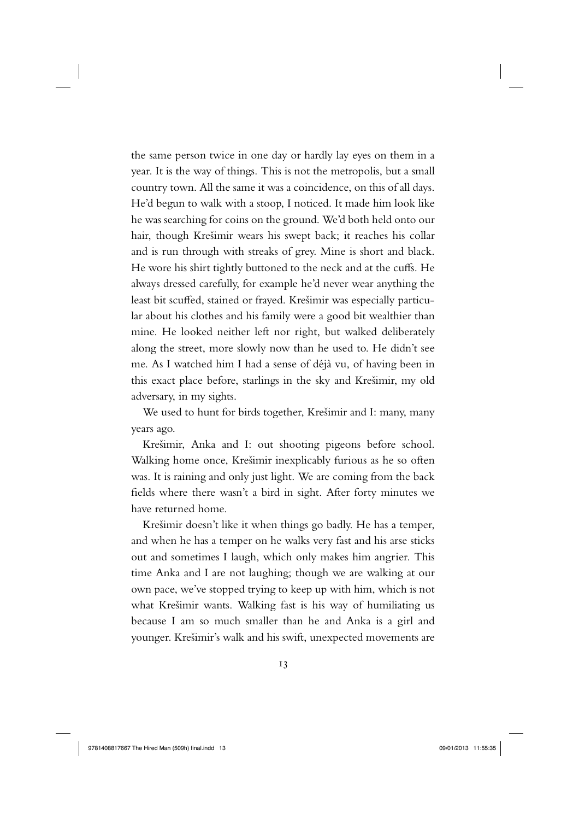the same person twice in one day or hardly lay eyes on them in a year. It is the way of things. This is not the metropolis, but a small country town. All the same it was a coincidence, on this of all days. He'd begun to walk with a stoop, I noticed. It made him look like he was searching for coins on the ground. We'd both held onto our hair, though Krešimir wears his swept back; it reaches his collar and is run through with streaks of grey. Mine is short and black. He wore his shirt tightly buttoned to the neck and at the cuffs. He always dressed carefully, for example he'd never wear anything the least bit scuffed, stained or frayed. Krešimir was especially particular about his clothes and his family were a good bit wealthier than mine. He looked neither left nor right, but walked deliberately along the street, more slowly now than he used to. He didn't see me. As I watched him I had a sense of déjà vu, of having been in this exact place before, starlings in the sky and Krešimir, my old adversary, in my sights.

We used to hunt for birds together, Krešimir and I: many, many years ago.

Krešimir, Anka and I: out shooting pigeons before school. Walking home once, Krešimir inexplicably furious as he so often was. It is raining and only just light. We are coming from the back fields where there wasn't a bird in sight. After forty minutes we have returned home.

Krešimir doesn't like it when things go badly. He has a temper, and when he has a temper on he walks very fast and his arse sticks out and sometimes I laugh, which only makes him angrier. This time Anka and I are not laughing; though we are walking at our own pace, we've stopped trying to keep up with him, which is not what Krešimir wants. Walking fast is his way of humiliating us because I am so much smaller than he and Anka is a girl and younger. Krešimir's walk and his swift, unexpected movements are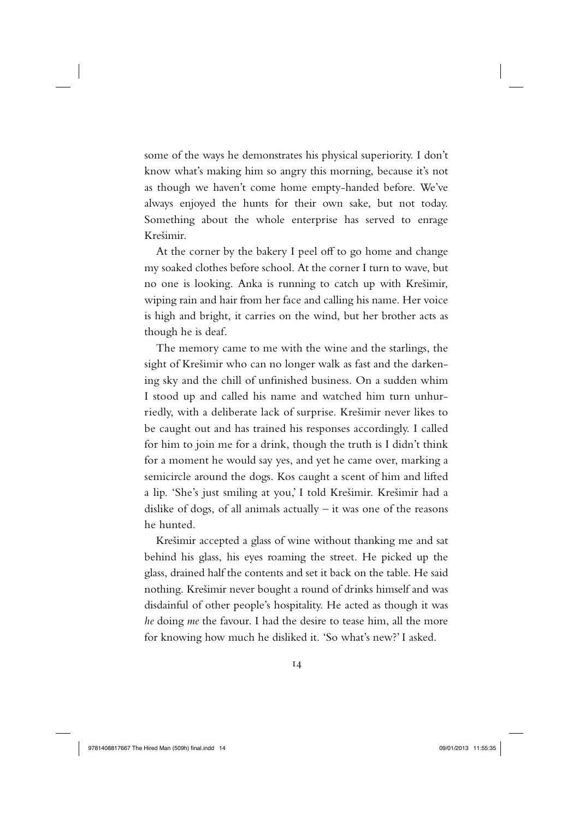some of the ways he demonstrates his physical superiority. I don't know what's making him so angry this morning, because it's not as though we haven't come home empty-handed before. We've always enjoyed the hunts for their own sake, but not today. Something about the whole enterprise has served to enrage Krešimir.

At the corner by the bakery I peel off to go home and change my soaked clothes before school. At the corner I turn to wave, but no one is looking. Anka is running to catch up with Krešimir, wiping rain and hair from her face and calling his name. Her voice is high and bright, it carries on the wind, but her brother acts as though he is deaf.

The memory came to me with the wine and the starlings, the sight of Krešimir who can no longer walk as fast and the darkening sky and the chill of unfinished business. On a sudden whim I stood up and called his name and watched him turn unhurriedly, with a deliberate lack of surprise. Krešimir never likes to be caught out and has trained his responses accordingly. I called for him to join me for a drink, though the truth is I didn't think for a moment he would say yes, and yet he came over, marking a semicircle around the dogs. Kos caught a scent of him and lifted a lip. 'She's just smiling at you,' I told Krešimir. Krešimir had a dislike of dogs, of all animals actually  $-$  it was one of the reasons he hunted.

Krešimir accepted a glass of wine without thanking me and sat behind his glass, his eyes roaming the street. He picked up the glass, drained half the contents and set it back on the table. He said nothing. Krešimir never bought a round of drinks himself and was disdainful of other people's hospitality. He acted as though it was *he* doing *me* the favour. I had the desire to tease him, all the more for knowing how much he disliked it. 'So what's new?' I asked.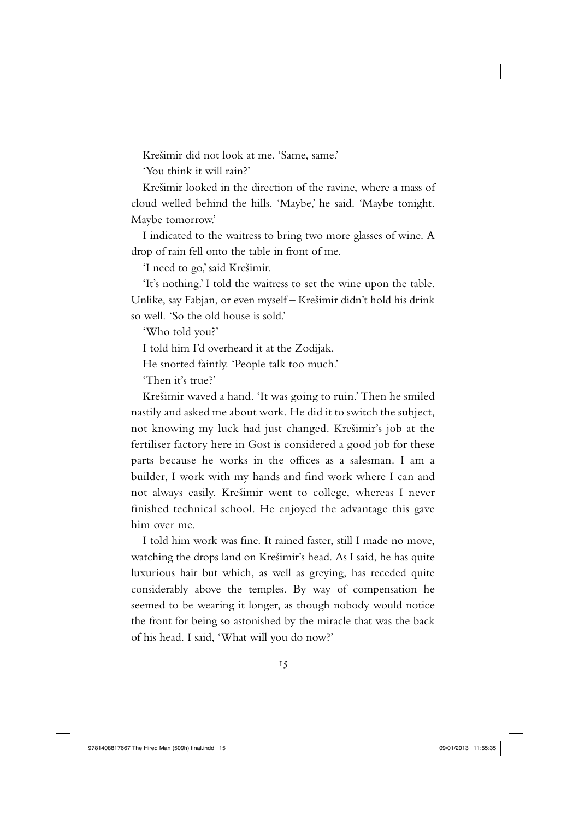Krešimir did not look at me. 'Same, same.'

'You think it will rain?'

Krešimir looked in the direction of the ravine, where a mass of cloud welled behind the hills. 'Maybe,' he said. 'Maybe tonight. Maybe tomorrow.'

I indicated to the waitress to bring two more glasses of wine. A drop of rain fell onto the table in front of me.

'I need to go,' said Krešimir.

'It's nothing.' I told the waitress to set the wine upon the table. Unlike, say Fabjan, or even myself – Krešimir didn't hold his drink so well. 'So the old house is sold.'

'Who told you?'

I told him I'd overheard it at the Zodijak.

He snorted faintly. 'People talk too much.'

'Then it's true?'

Krešimir waved a hand. 'It was going to ruin.' Then he smiled nastily and asked me about work. He did it to switch the subject, not knowing my luck had just changed. Krešimir's job at the fertiliser factory here in Gost is considered a good job for these parts because he works in the offices as a salesman. I am a builder, I work with my hands and find work where I can and not always easily. Krešimir went to college, whereas I never finished technical school. He enjoyed the advantage this gave him over me.

I told him work was fine. It rained faster, still I made no move, watching the drops land on Krešimir's head. As I said, he has quite luxurious hair but which, as well as greying, has receded quite considerably above the temples. By way of compensation he seemed to be wearing it longer, as though nobody would notice the front for being so astonished by the miracle that was the back of his head. I said, 'What will you do now?'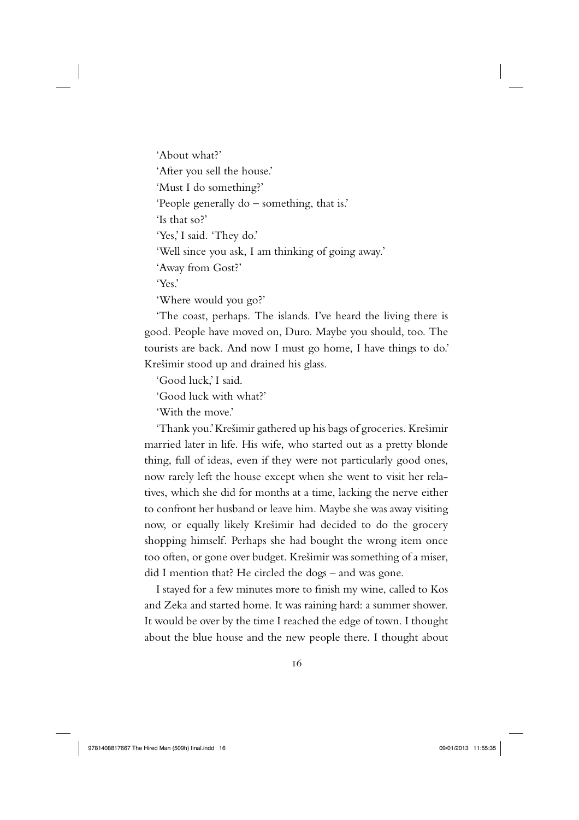'About what?' 'After you sell the house.' 'Must I do something?' 'People generally do – something, that is.' 'Is that so?' 'Yes,' I said. 'They do.' 'Well since you ask, I am thinking of going away.' 'Away from Gost?' 'Yes.' 'Where would you go?'

'The coast, perhaps. The islands. I've heard the living there is good. People have moved on, Duro. Maybe you should, too. The tourists are back. And now I must go home, I have things to do.' Krešimir stood up and drained his glass.

'Good luck,' I said.

'Good luck with what?'

'With the move.'

'Thank you.' Krešimir gathered up his bags of groceries. Krešimir married later in life. His wife, who started out as a pretty blonde thing, full of ideas, even if they were not particularly good ones, now rarely left the house except when she went to visit her relatives, which she did for months at a time, lacking the nerve either to confront her husband or leave him. Maybe she was away visiting now, or equally likely Krešimir had decided to do the grocery shopping himself. Perhaps she had bought the wrong item once too often, or gone over budget. Krešimir was something of a miser, did I mention that? He circled the dogs – and was gone.

I stayed for a few minutes more to finish my wine, called to Kos and Zeka and started home. It was raining hard: a summer shower. It would be over by the time I reached the edge of town. I thought about the blue house and the new people there. I thought about